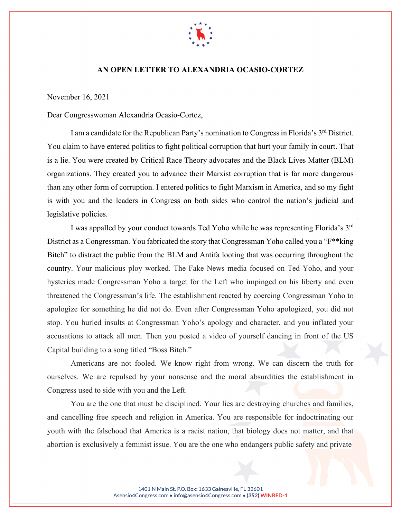

## **AN OPEN LETTER TO ALEXANDRIA OCASIO-CORTEZ**

November 16, 2021

Dear Congresswoman Alexandria Ocasio-Cortez,

I am a candidate for the Republican Party's nomination to Congress in Florida's 3<sup>rd</sup> District. You claim to have entered politics to fight political corruption that hurt your family in court. That is a lie. You were created by Critical Race Theory advocates and the [Black Lives Matter](https://www.blacklivesmattergreaterny.com/) (BLM) organizations. They created you to advance their Marxist corruption that is far more dangerous than any other form of corruption. I entered politics to fight Marxism in America, and so my fight is with you and the leaders in Congress on both sides who control the nation's judicial and legislative policies.

I was appalled by your conduct towards Ted Yoho while he was representing Florida's 3<sup>rd</sup> District as a Congressman. You fabricated the story that Congressman Yoho called you a "F\*\*king" Bitch" to distract the public from the BLM and Antifa looting that was occurring throughout the country. Your malicious ploy worked. The Fake News media focused on Ted Yoho, and your hysterics made Congressman Yoho a target for the Left who impinged on his liberty and even threatened the Congressman's life. The establishment reacted by coercing Congressman Yoho to apologize for something he did not do. Even after Congressman Yoho apologized, you did not stop. You hurled insults at Congressman Yoho's apology and character, and you inflated your accusations to attack all men. Then you posted a video of yourself dancing in front of the US Capital building to a song titled "Boss Bitch."

Americans are not fooled. We know right from wrong. We can discern the truth for ourselves. We are repulsed by your nonsense and the moral absurdities the establishment in Congress used to side with you and the Left.

You are the one that must be disciplined. Your lies are destroying churches and families, and cancelling free speech and religion in America. You are responsible for indoctrinating our youth with the falsehood that America is a racist nation, that biology does not matter, and that abortion is exclusively a feminist issue. You are the one who endangers public safety and private

> 1401 N Main St. P.O. Box: 1633 Gainesville, FL 32601 Asensio4Congress.com • info@asensio4Congress.com • (352) WINRED-1